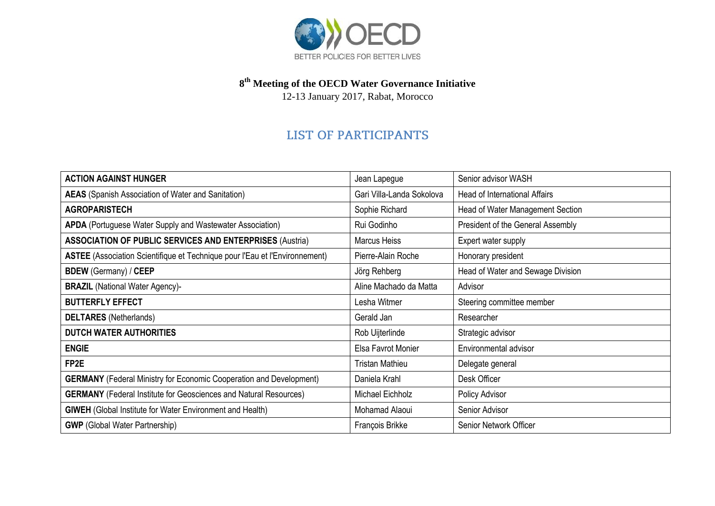

## **8 th Meeting of the OECD Water Governance Initiative**

12-13 January 2017, Rabat, Morocco

## **LIST OF PARTICIPANTS**

| <b>ACTION AGAINST HUNGER</b>                                                | Jean Lapegue              | Senior advisor WASH               |
|-----------------------------------------------------------------------------|---------------------------|-----------------------------------|
| <b>AEAS</b> (Spanish Association of Water and Sanitation)                   | Gari Villa-Landa Sokolova | Head of International Affairs     |
| <b>AGROPARISTECH</b>                                                        | Sophie Richard            | Head of Water Management Section  |
| <b>APDA</b> (Portuguese Water Supply and Wastewater Association)            | Rui Godinho               | President of the General Assembly |
| <b>ASSOCIATION OF PUBLIC SERVICES AND ENTERPRISES (Austria)</b>             | Marcus Heiss              | Expert water supply               |
| ASTEE (Association Scientifique et Technique pour l'Eau et l'Environnement) | Pierre-Alain Roche        | Honorary president                |
| <b>BDEW</b> (Germany) / CEEP                                                | Jörg Rehberg              | Head of Water and Sewage Division |
| <b>BRAZIL</b> (National Water Agency)-                                      | Aline Machado da Matta    | Advisor                           |
| <b>BUTTERFLY EFFECT</b>                                                     | Lesha Witmer              | Steering committee member         |
| <b>DELTARES</b> (Netherlands)                                               | Gerald Jan                | Researcher                        |
| <b>DUTCH WATER AUTHORITIES</b>                                              | Rob Uijterlinde           | Strategic advisor                 |
| <b>ENGIE</b>                                                                | Elsa Favrot Monier        | Environmental advisor             |
| FP <sub>2E</sub>                                                            | <b>Tristan Mathieu</b>    | Delegate general                  |
| <b>GERMANY</b> (Federal Ministry for Economic Cooperation and Development)  | Daniela Krahl             | Desk Officer                      |
| <b>GERMANY</b> (Federal Institute for Geosciences and Natural Resources)    | Michael Eichholz          | Policy Advisor                    |
| <b>GIWEH</b> (Global Institute for Water Environment and Health)            | Mohamad Alaoui            | Senior Advisor                    |
| <b>GWP</b> (Global Water Partnership)                                       | François Brikke           | Senior Network Officer            |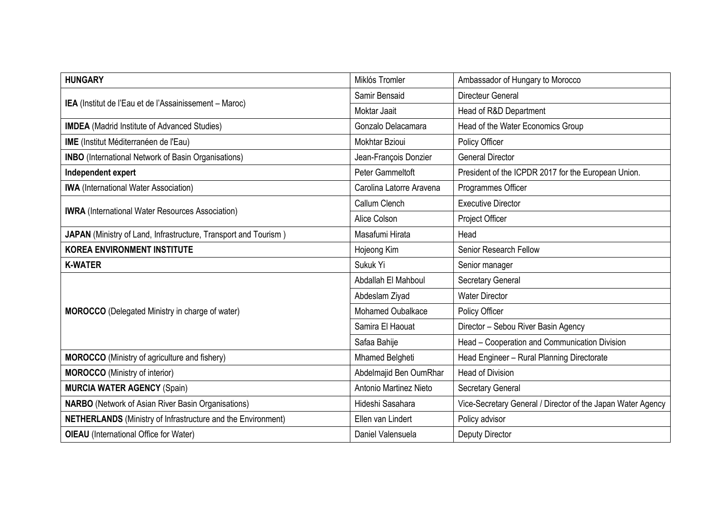| Miklós Tromler           | Ambassador of Hungary to Morocco                            |
|--------------------------|-------------------------------------------------------------|
| Samir Bensaid            | <b>Directeur General</b>                                    |
| Moktar Jaait             | Head of R&D Department                                      |
| Gonzalo Delacamara       | Head of the Water Economics Group                           |
| Mokhtar Bzioui           | Policy Officer                                              |
| Jean-François Donzier    | <b>General Director</b>                                     |
| Peter Gammeltoft         | President of the ICPDR 2017 for the European Union.         |
| Carolina Latorre Aravena | Programmes Officer                                          |
| Callum Clench            | <b>Executive Director</b>                                   |
| Alice Colson             | Project Officer                                             |
| Masafumi Hirata          | Head                                                        |
| Hojeong Kim              | Senior Research Fellow                                      |
| Sukuk Yi                 | Senior manager                                              |
| Abdallah El Mahboul      | Secretary General                                           |
| Abdeslam Ziyad           | <b>Water Director</b>                                       |
| <b>Mohamed Oubalkace</b> | Policy Officer                                              |
| Samira El Haouat         | Director - Sebou River Basin Agency                         |
| Safaa Bahije             | Head - Cooperation and Communication Division               |
| <b>Mhamed Belgheti</b>   | Head Engineer - Rural Planning Directorate                  |
| Abdelmajid Ben OumRhar   | <b>Head of Division</b>                                     |
| Antonio Martinez Nieto   | <b>Secretary General</b>                                    |
|                          |                                                             |
| Hideshi Sasahara         | Vice-Secretary General / Director of the Japan Water Agency |
| Ellen van Lindert        | Policy advisor                                              |
|                          |                                                             |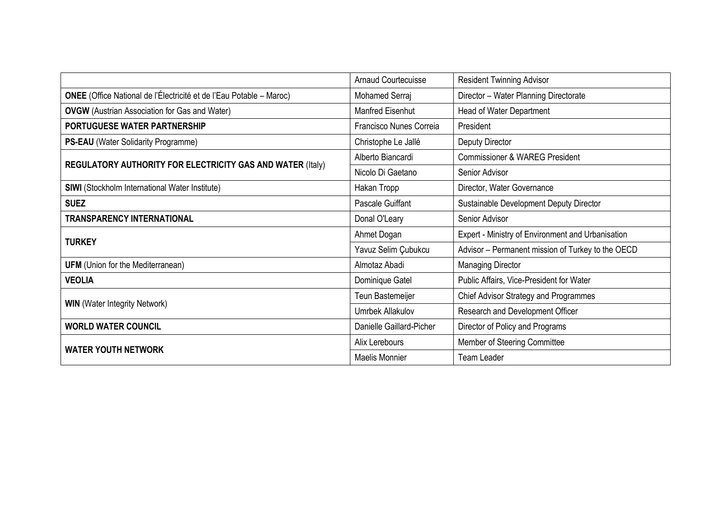|                                                                            | <b>Arnaud Courtecuisse</b> | <b>Resident Twinning Advisor</b>                  |
|----------------------------------------------------------------------------|----------------------------|---------------------------------------------------|
| <b>ONEE</b> (Office National de l'Électricité et de l'Eau Potable – Maroc) | Mohamed Serraj             | Director - Water Planning Directorate             |
| <b>OVGW</b> (Austrian Association for Gas and Water)                       | Manfred Eisenhut           | Head of Water Department                          |
| PORTUGUESE WATER PARTNERSHIP                                               | Francisco Nunes Correia    | President                                         |
| <b>PS-EAU</b> (Water Solidarity Programme)                                 | Christophe Le Jallé        | Deputy Director                                   |
| <b>REGULATORY AUTHORITY FOR ELECTRICITY GAS AND WATER (Italy)</b>          | Alberto Biancardi          | <b>Commissioner &amp; WAREG President</b>         |
|                                                                            | Nicolo Di Gaetano          | Senior Advisor                                    |
| <b>SIWI</b> (Stockholm International Water Institute)                      | Hakan Tropp                | Director, Water Governance                        |
| <b>SUEZ</b>                                                                | Pascale Guiffant           | Sustainable Development Deputy Director           |
| <b>TRANSPARENCY INTERNATIONAL</b>                                          | Donal O'Leary              | Senior Advisor                                    |
| <b>TURKEY</b>                                                              | Ahmet Dogan                | Expert - Ministry of Environment and Urbanisation |
|                                                                            | Yavuz Selim Çubukcu        | Advisor - Permanent mission of Turkey to the OECD |
| <b>UFM</b> (Union for the Mediterranean)                                   | Almotaz Abadi              | <b>Managing Director</b>                          |
| <b>VEOLIA</b>                                                              | Dominique Gatel            | Public Affairs, Vice-President for Water          |
| <b>WIN</b> (Water Integrity Network)                                       | Teun Bastemeijer           | <b>Chief Advisor Strategy and Programmes</b>      |
|                                                                            | <b>Umrbek Allakulov</b>    | Research and Development Officer                  |
| <b>WORLD WATER COUNCIL</b>                                                 | Danielle Gaillard-Picher   | Director of Policy and Programs                   |
| <b>WATER YOUTH NETWORK</b>                                                 | Alix Lerebours             | Member of Steering Committee                      |
|                                                                            | Maelis Monnier             | <b>Team Leader</b>                                |